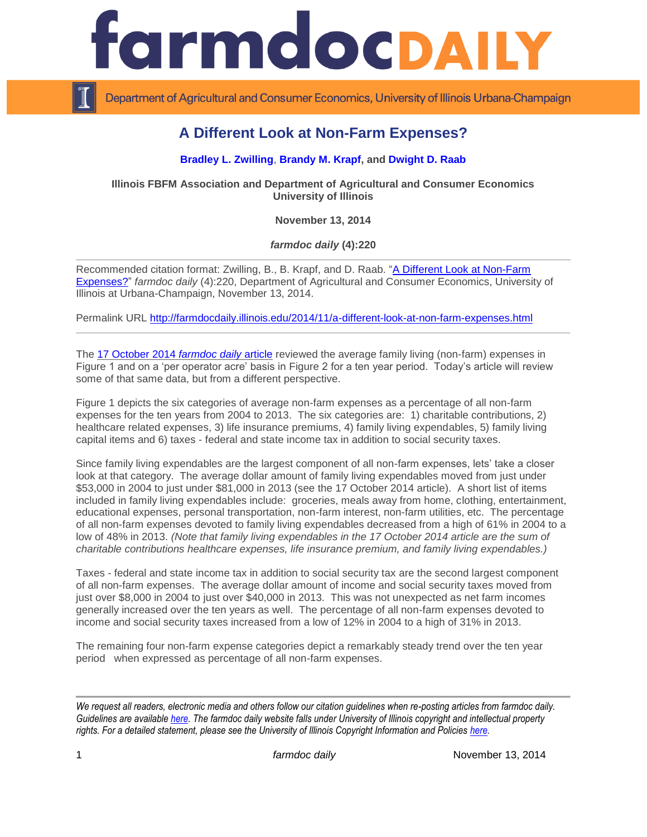

Department of Agricultural and Consumer Economics, University of Illinois Urbana-Champaign

## **A Different Look at Non-Farm Expenses?**

## **[Bradley L. Zwilling](http://fbfm.ace.uiuc.edu/statestf.htm)**, **[Brandy M. Krapf,](http://fbfm.ace.uiuc.edu/statestf.htm) and [Dwight D. Raab](http://fbfm.ace.uiuc.edu/statestf.htm)**

**Illinois FBFM Association and Department of Agricultural and Consumer Economics University of Illinois**

**November 13, 2014**

*farmdoc daily* **(4):220**

Recommended citation format: Zwilling, B., B. Krapf, and D. Raab. ["A Different Look at Non-Farm](http://farmdocdaily.illinois.edu/2014/11/a-different-look-at-non-farm-expenses.html)  [Expenses?"](http://farmdocdaily.illinois.edu/2014/11/a-different-look-at-non-farm-expenses.html) *farmdoc daily* (4):220, Department of Agricultural and Consumer Economics, University of Illinois at Urbana-Champaign, November 13, 2014.

Permalink URL<http://farmdocdaily.illinois.edu/2014/11/a-different-look-at-non-farm-expenses.html>

The [17 October 2014](http://farmdocdaily.illinois.edu/2014/10/tightening-margins-and-family-living.html) *farmdoc daily* article reviewed the average family living (non-farm) expenses in Figure 1 and on a 'per operator acre' basis in Figure 2 for a ten year period. Today's article will review some of that same data, but from a different perspective.

Figure 1 depicts the six categories of average non-farm expenses as a percentage of all non-farm expenses for the ten years from 2004 to 2013. The six categories are: 1) charitable contributions, 2) healthcare related expenses, 3) life insurance premiums, 4) family living expendables, 5) family living capital items and 6) taxes - federal and state income tax in addition to social security taxes.

Since family living expendables are the largest component of all non-farm expenses, lets' take a closer look at that category. The average dollar amount of family living expendables moved from just under \$53,000 in 2004 to just under \$81,000 in 2013 (see the 17 October 2014 article). A short list of items included in family living expendables include: groceries, meals away from home, clothing, entertainment, educational expenses, personal transportation, non-farm interest, non-farm utilities, etc. The percentage of all non-farm expenses devoted to family living expendables decreased from a high of 61% in 2004 to a low of 48% in 2013. *(Note that family living expendables in the 17 October 2014 article are the sum of charitable contributions healthcare expenses, life insurance premium, and family living expendables.)*

Taxes - federal and state income tax in addition to social security tax are the second largest component of all non-farm expenses. The average dollar amount of income and social security taxes moved from just over \$8,000 in 2004 to just over \$40,000 in 2013. This was not unexpected as net farm incomes generally increased over the ten years as well. The percentage of all non-farm expenses devoted to income and social security taxes increased from a low of 12% in 2004 to a high of 31% in 2013.

The remaining four non-farm expense categories depict a remarkably steady trend over the ten year period when expressed as percentage of all non-farm expenses.

*We request all readers, electronic media and others follow our citation guidelines when re-posting articles from farmdoc daily. Guidelines are available [here.](http://farmdocdaily.illinois.edu/citationguide.html) The farmdoc daily website falls under University of Illinois copyright and intellectual property rights. For a detailed statement, please see the University of Illinois Copyright Information and Policies [here.](http://www.cio.illinois.edu/policies/copyright/)*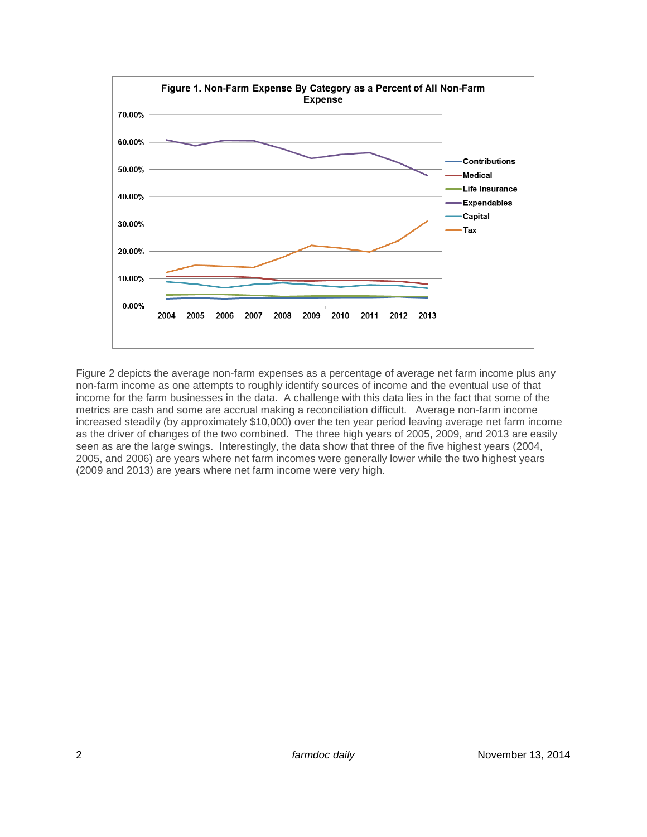

Figure 2 depicts the average non-farm expenses as a percentage of average net farm income plus any non-farm income as one attempts to roughly identify sources of income and the eventual use of that income for the farm businesses in the data. A challenge with this data lies in the fact that some of the metrics are cash and some are accrual making a reconciliation difficult. Average non-farm income increased steadily (by approximately \$10,000) over the ten year period leaving average net farm income as the driver of changes of the two combined. The three high years of 2005, 2009, and 2013 are easily seen as are the large swings. Interestingly, the data show that three of the five highest years (2004, 2005, and 2006) are years where net farm incomes were generally lower while the two highest years (2009 and 2013) are years where net farm income were very high.